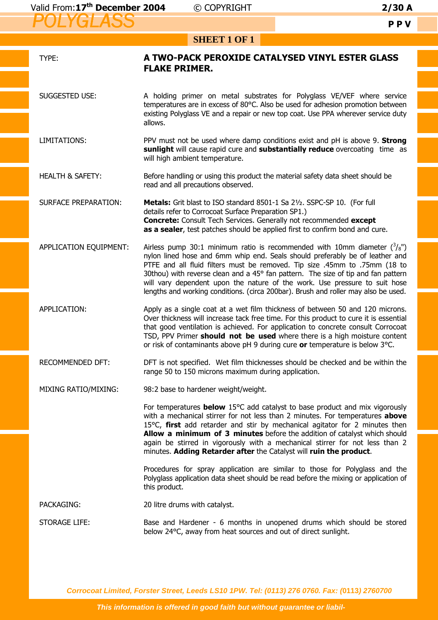| <b>SHEET 1 OF 1</b>         |                                                                                                                                                                                                                                                                                                                                                                                                                                                                                                            |
|-----------------------------|------------------------------------------------------------------------------------------------------------------------------------------------------------------------------------------------------------------------------------------------------------------------------------------------------------------------------------------------------------------------------------------------------------------------------------------------------------------------------------------------------------|
| TYPE:                       | A TWO-PACK PEROXIDE CATALYSED VINYL ESTER GLASS<br><b>FLAKE PRIMER.</b>                                                                                                                                                                                                                                                                                                                                                                                                                                    |
| SUGGESTED USE:              | A holding primer on metal substrates for Polyglass VE/VEF where service<br>temperatures are in excess of 80°C. Also be used for adhesion promotion between<br>existing Polyglass VE and a repair or new top coat. Use PPA wherever service duty<br>allows.                                                                                                                                                                                                                                                 |
| LIMITATIONS:                | PPV must not be used where damp conditions exist and pH is above 9. Strong<br>sunlight will cause rapid cure and substantially reduce overcoating time as<br>will high ambient temperature.                                                                                                                                                                                                                                                                                                                |
| <b>HEALTH &amp; SAFETY:</b> | Before handling or using this product the material safety data sheet should be<br>read and all precautions observed.                                                                                                                                                                                                                                                                                                                                                                                       |
| <b>SURFACE PREPARATION:</b> | Metals: Grit blast to ISO standard 8501-1 Sa 21/2. SSPC-SP 10. (For full<br>details refer to Corrocoat Surface Preparation SP1.)<br><b>Concrete:</b> Consult Tech Services. Generally not recommended except<br>as a sealer, test patches should be applied first to confirm bond and cure.                                                                                                                                                                                                                |
| APPLICATION EQUIPMENT:      | Airless pump 30:1 minimum ratio is recommended with 10mm diameter $\binom{3}{8}$ ")<br>nylon lined hose and 6mm whip end. Seals should preferably be of leather and<br>PTFE and all fluid filters must be removed. Tip size .45mm to .75mm (18 to<br>30thou) with reverse clean and a 45° fan pattern. The size of tip and fan pattern<br>will vary dependent upon the nature of the work. Use pressure to suit hose<br>lengths and working conditions. (circa 200bar). Brush and roller may also be used. |
| APPLICATION:                | Apply as a single coat at a wet film thickness of between 50 and 120 microns.<br>Over thickness will increase tack free time. For this product to cure it is essential<br>that good ventilation is achieved. For application to concrete consult Corrocoat<br>TSD, PPV Primer should not be used where there is a high moisture content<br>or risk of contaminants above pH 9 during cure or temperature is below 3°C.                                                                                     |
| RECOMMENDED DFT:            | DFT is not specified. Wet film thicknesses should be checked and be within the<br>range 50 to 150 microns maximum during application.                                                                                                                                                                                                                                                                                                                                                                      |
| MIXING RATIO/MIXING:        | 98:2 base to hardener weight/weight.                                                                                                                                                                                                                                                                                                                                                                                                                                                                       |
|                             | For temperatures <b>below</b> 15°C add catalyst to base product and mix vigorously<br>with a mechanical stirrer for not less than 2 minutes. For temperatures above<br>15 $\degree$ C, first add retarder and stir by mechanical agitator for 2 minutes then<br>Allow a minimum of 3 minutes before the addition of catalyst which should<br>again be stirred in vigorously with a mechanical stirrer for not less than 2<br>minutes. Adding Retarder after the Catalyst will ruin the product.            |
|                             | Procedures for spray application are similar to those for Polyglass and the<br>Polyglass application data sheet should be read before the mixing or application of<br>this product.                                                                                                                                                                                                                                                                                                                        |
| PACKAGING:                  | 20 litre drums with catalyst.                                                                                                                                                                                                                                                                                                                                                                                                                                                                              |
| <b>STORAGE LIFE:</b>        | Base and Hardener - 6 months in unopened drums which should be stored<br>below 24°C, away from heat sources and out of direct sunlight.                                                                                                                                                                                                                                                                                                                                                                    |

**Corrocoat Limited, Forster Street, Leeds LS10 1PW. Tel: (0113) 276 0760. Fax: (0113) 2760700**